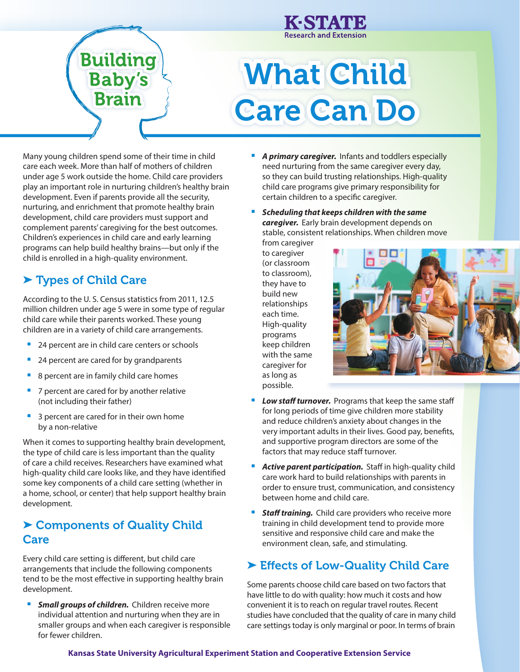# What Child Care Can Do

**Research and Extension** 

Many young children spend some of their time in child care each week. More than half of mothers of children under age 5 work outside the home. Child care providers play an important role in nurturing children's healthy brain development. Even if parents provide all the security, nurturing, and enrichment that promote healthy brain development, child care providers must support and complement parents' caregiving for the best outcomes. Children's experiences in child care and early learning programs can help build healthy brains—but only if the child is enrolled in a high-quality environment.

**Building** 

**Baby's** 

**Brain** 

# ➤ Types of Child Care

According to the U. S. Census statistics from 2011, 12.5 million children under age 5 were in some type of regular child care while their parents worked. These young children are in a variety of child care arrangements.

- 24 percent are in child care centers or schools
- 24 percent are cared for by grandparents
- 8 percent are in family child care homes
- 7 percent are cared for by another relative (not including their father)
- 3 percent are cared for in their own home by a non-relative

When it comes to supporting healthy brain development, the type of child care is less important than the quality of care a child receives. Researchers have examined what high-quality child care looks like, and they have identified some key components of a child care setting (whether in a home, school, or center) that help support healthy brain development.

## ▶ Components of Quality Child **Care**

Every child care setting is different, but child care arrangements that include the following components tend to be the most effective in supporting healthy brain development.

 *Small groups of children.* Children receive more individual attention and nurturing when they are in smaller groups and when each caregiver is responsible for fewer children.

- **A primary caregiver.** Infants and toddlers especially need nurturing from the same caregiver every day, so they can build trusting relationships. High-quality child care programs give primary responsibility for certain children to a specific caregiver.
- *Scheduling that keeps children with the same caregiver.* Early brain development depends on stable, consistent relationships. When children move

from caregiver to caregiver (or classroom to classroom), they have to build new relationships each time. High-quality programs keep children with the same caregiver for as long as possible.



- **Low staff turnover.** Programs that keep the same staff for long periods of time give children more stability and reduce children's anxiety about changes in the very important adults in their lives. Good pay, benefits, and supportive program directors are some of the factors that may reduce staff turnover.
- *Active parent participation.* Staff in high-quality child care work hard to build relationships with parents in order to ensure trust, communication, and consistency between home and child care.
- **Staff training.** Child care providers who receive more training in child development tend to provide more sensitive and responsive child care and make the environment clean, safe, and stimulating.

## ► Effects of Low-Quality Child Care

Some parents choose child care based on two factors that have little to do with quality: how much it costs and how convenient it is to reach on regular travel routes. Recent studies have concluded that the quality of care in many child care settings today is only marginal or poor. In terms of brain

#### **Kansas State University Agricultural Experiment Station and Cooperative Extension Service**